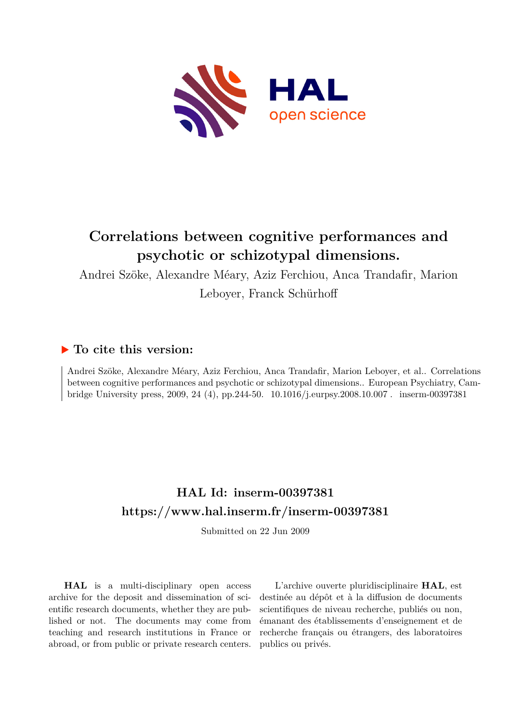

# **Correlations between cognitive performances and psychotic or schizotypal dimensions.**

Andrei Szöke, Alexandre Méary, Aziz Ferchiou, Anca Trandafir, Marion

Leboyer, Franck Schürhoff

## **To cite this version:**

Andrei Szöke, Alexandre Méary, Aziz Ferchiou, Anca Trandafir, Marion Leboyer, et al.. Correlations between cognitive performances and psychotic or schizotypal dimensions.. European Psychiatry, Cambridge University press, 2009, 24 (4), pp.244-50. 10.1016/j.eurpsy.2008.10.007. inserm-00397381

# **HAL Id: inserm-00397381 <https://www.hal.inserm.fr/inserm-00397381>**

Submitted on 22 Jun 2009

**HAL** is a multi-disciplinary open access archive for the deposit and dissemination of scientific research documents, whether they are published or not. The documents may come from teaching and research institutions in France or abroad, or from public or private research centers.

L'archive ouverte pluridisciplinaire **HAL**, est destinée au dépôt et à la diffusion de documents scientifiques de niveau recherche, publiés ou non, émanant des établissements d'enseignement et de recherche français ou étrangers, des laboratoires publics ou privés.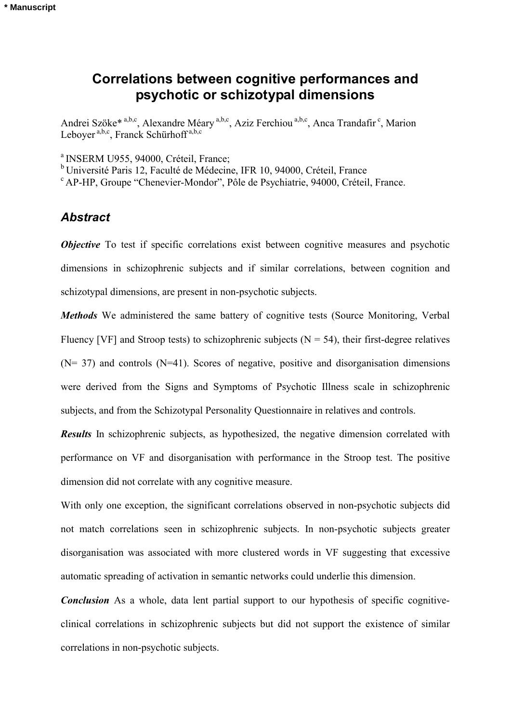## **Correlations between cognitive performances and psychotic or schizotypal dimensions**

Andrei Szöke<sup>\* a,b,c</sup>, Alexandre Méary <sup>a,b,c</sup>, Aziz Ferchiou <sup>a,b,c</sup>, Anca Trandafir<sup>c</sup>, Marion Leboyer<sup>a,b,c</sup>, Franck Schürhoff<sup>a,b,c</sup>

<sup>a</sup> INSERM U955, 94000, Créteil, France;

b Université Paris 12, Faculté de Médecine, IFR 10, 94000, Créteil, France

c AP-HP, Groupe "Chenevier-Mondor", Pôle de Psychiatrie, 94000, Créteil, France.

## *Abstract*

*Objective* To test if specific correlations exist between cognitive measures and psychotic dimensions in schizophrenic subjects and if similar correlations, between cognition and schizotypal dimensions, are present in non-psychotic subjects.

*Methods* We administered the same battery of cognitive tests (Source Monitoring, Verbal Fluency [VF] and Stroop tests) to schizophrenic subjects ( $N = 54$ ), their first-degree relatives  $(N= 37)$  and controls  $(N=41)$ . Scores of negative, positive and disorganisation dimensions were derived from the Signs and Symptoms of Psychotic Illness scale in schizophrenic subjects, and from the Schizotypal Personality Questionnaire in relatives and controls.

**Results** In schizophrenic subjects, as hypothesized, the negative dimension correlated with performance on VF and disorganisation with performance in the Stroop test. The positive dimension did not correlate with any cognitive measure.

With only one exception, the significant correlations observed in non-psychotic subjects did not match correlations seen in schizophrenic subjects. In non-psychotic subjects greater disorganisation was associated with more clustered words in VF suggesting that excessive automatic spreading of activation in semantic networks could underlie this dimension.

*Conclusion* As a whole, data lent partial support to our hypothesis of specific cognitiveclinical correlations in schizophrenic subjects but did not support the existence of similar correlations in non-psychotic subjects.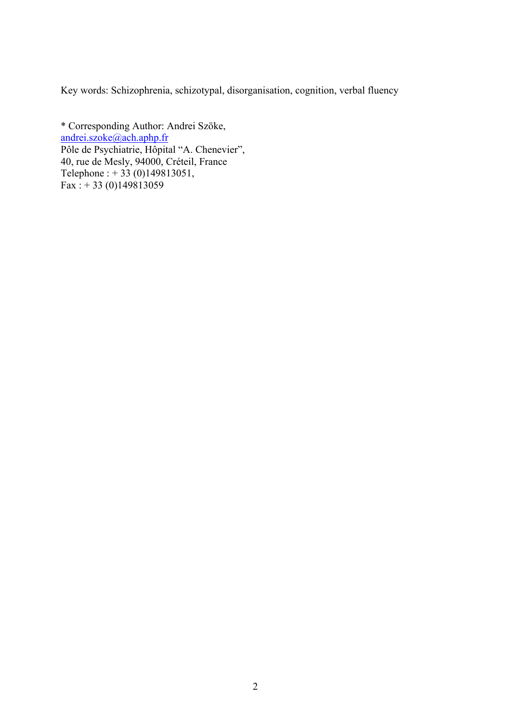Key words: Schizophrenia, schizotypal, disorganisation, cognition, verbal fluency

\* Corresponding Author: Andrei Szöke, [andrei.szoke@ach.aphp.fr](mailto:andrei.szoke@ach.aphp.fr) Pôle de Psychiatrie, Hôpital "A. Chenevier", 40, rue de Mesly, 94000, Créteil, France Telephone : + 33 (0)149813051, Fax : +33 (0)149813059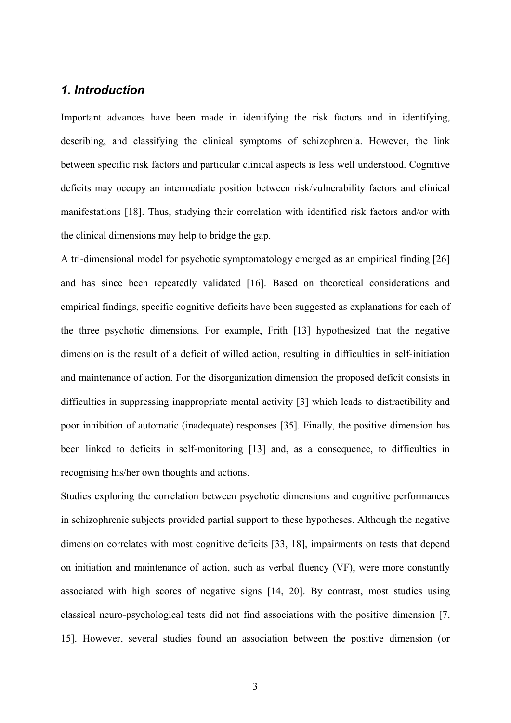## *1. Introduction*

Important advances have been made in identifying the risk factors and in identifying, describing, and classifying the clinical symptoms of schizophrenia. However, the link between specific risk factors and particular clinical aspects is less well understood. Cognitive deficits may occupy an intermediate position between risk/vulnerability factors and clinical manifestations [18]. Thus, studying their correlation with identified risk factors and/or with the clinical dimensions may help to bridge the gap.

A tri-dimensional model for psychotic symptomatology emerged as an empirical finding [26] and has since been repeatedly validated [16]. Based on theoretical considerations and empirical findings, specific cognitive deficits have been suggested as explanations for each of the three psychotic dimensions. For example, Frith [13] hypothesized that the negative dimension is the result of a deficit of willed action, resulting in difficulties in self-initiation and maintenance of action. For the disorganization dimension the proposed deficit consists in difficulties in suppressing inappropriate mental activity [3] which leads to distractibility and poor inhibition of automatic (inadequate) responses [35]. Finally, the positive dimension has been linked to deficits in self-monitoring [13] and, as a consequence, to difficulties in recognising his/her own thoughts and actions.

Studies exploring the correlation between psychotic dimensions and cognitive performances in schizophrenic subjects provided partial support to these hypotheses. Although the negative dimension correlates with most cognitive deficits [33, 18], impairments on tests that depend on initiation and maintenance of action, such as verbal fluency (VF), were more constantly associated with high scores of negative signs [14, 20]. By contrast, most studies using classical neuro-psychological tests did not find associations with the positive dimension [7, 15]. However, several studies found an association between the positive dimension (or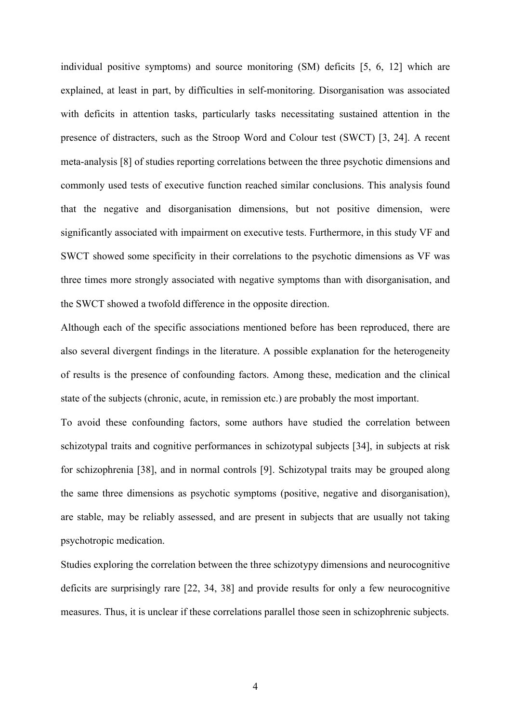individual positive symptoms) and source monitoring (SM) deficits [5, 6, 12] which are explained, at least in part, by difficulties in self-monitoring. Disorganisation was associated with deficits in attention tasks, particularly tasks necessitating sustained attention in the presence of distracters, such as the Stroop Word and Colour test (SWCT) [3, 24]. A recent meta-analysis [8] of studies reporting correlations between the three psychotic dimensions and commonly used tests of executive function reached similar conclusions. This analysis found that the negative and disorganisation dimensions, but not positive dimension, were significantly associated with impairment on executive tests. Furthermore, in this study VF and SWCT showed some specificity in their correlations to the psychotic dimensions as VF was three times more strongly associated with negative symptoms than with disorganisation, and the SWCT showed a twofold difference in the opposite direction.

Although each of the specific associations mentioned before has been reproduced, there are also several divergent findings in the literature. A possible explanation for the heterogeneity of results is the presence of confounding factors. Among these, medication and the clinical state of the subjects (chronic, acute, in remission etc.) are probably the most important.

To avoid these confounding factors, some authors have studied the correlation between schizotypal traits and cognitive performances in schizotypal subjects [34], in subjects at risk for schizophrenia [38], and in normal controls [9]. Schizotypal traits may be grouped along the same three dimensions as psychotic symptoms (positive, negative and disorganisation), are stable, may be reliably assessed, and are present in subjects that are usually not taking psychotropic medication.

Studies exploring the correlation between the three schizotypy dimensions and neurocognitive deficits are surprisingly rare [22, 34, 38] and provide results for only a few neurocognitive measures. Thus, it is unclear if these correlations parallel those seen in schizophrenic subjects.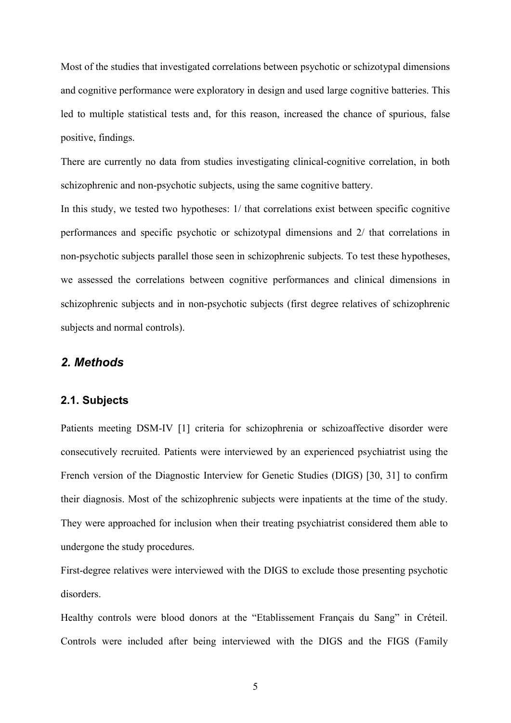Most of the studies that investigated correlations between psychotic or schizotypal dimensions and cognitive performance were exploratory in design and used large cognitive batteries. This led to multiple statistical tests and, for this reason, increased the chance of spurious, false positive, findings.

There are currently no data from studies investigating clinical-cognitive correlation, in both schizophrenic and non-psychotic subjects, using the same cognitive battery.

In this study, we tested two hypotheses: 1/ that correlations exist between specific cognitive performances and specific psychotic or schizotypal dimensions and 2/ that correlations in non-psychotic subjects parallel those seen in schizophrenic subjects. To test these hypotheses, we assessed the correlations between cognitive performances and clinical dimensions in schizophrenic subjects and in non-psychotic subjects (first degree relatives of schizophrenic subjects and normal controls).

## *2. Methods*

#### **2.1. Subjects**

Patients meeting DSM-IV [1] criteria for schizophrenia or schizoaffective disorder were consecutively recruited. Patients were interviewed by an experienced psychiatrist using the French version of the Diagnostic Interview for Genetic Studies (DIGS) [30, 31] to confirm their diagnosis. Most of the schizophrenic subjects were inpatients at the time of the study. They were approached for inclusion when their treating psychiatrist considered them able to undergone the study procedures.

First-degree relatives were interviewed with the DIGS to exclude those presenting psychotic disorders.

Healthy controls were blood donors at the "Etablissement Français du Sang" in Créteil. Controls were included after being interviewed with the DIGS and the FIGS (Family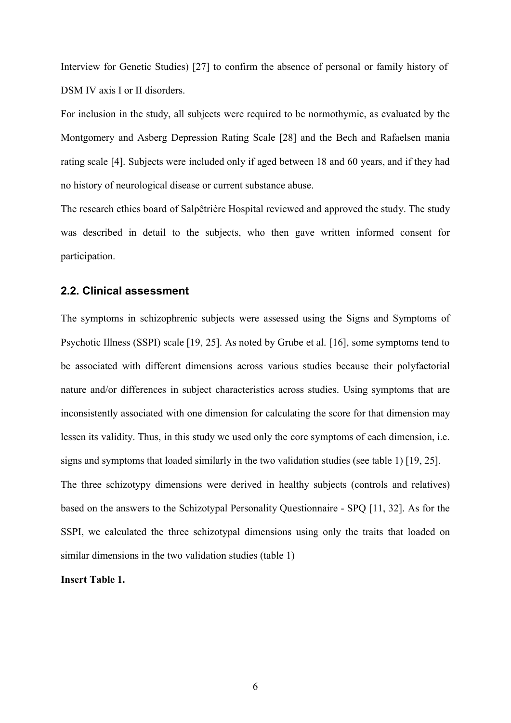Interview for Genetic Studies) [27] to confirm the absence of personal or family history of DSM IV axis I or II disorders.

For inclusion in the study, all subjects were required to be normothymic, as evaluated by the Montgomery and Asberg Depression Rating Scale [28] and the Bech and Rafaelsen mania rating scale [4]. Subjects were included only if aged between 18 and 60 years, and if they had no history of neurological disease or current substance abuse.

The research ethics board of Salpêtrière Hospital reviewed and approved the study. The study was described in detail to the subjects, who then gave written informed consent for participation.

#### **2.2. Clinical assessment**

The symptoms in schizophrenic subjects were assessed using the Signs and Symptoms of Psychotic Illness (SSPI) scale [19, 25]. As noted by Grube et al. [16], some symptoms tend to be associated with different dimensions across various studies because their polyfactorial nature and/or differences in subject characteristics across studies. Using symptoms that are inconsistently associated with one dimension for calculating the score for that dimension may lessen its validity. Thus, in this study we used only the core symptoms of each dimension, i.e. signs and symptoms that loaded similarly in the two validation studies (see table 1) [19, 25]. The three schizotypy dimensions were derived in healthy subjects (controls and relatives) based on the answers to the Schizotypal Personality Questionnaire - SPQ [11, 32]. As for the SSPI, we calculated the three schizotypal dimensions using only the traits that loaded on similar dimensions in the two validation studies (table 1)

**Insert Table 1.**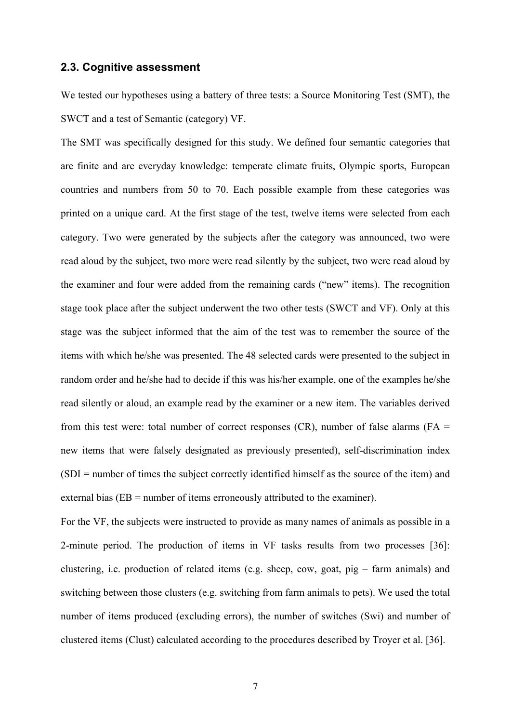#### **2.3. Cognitive assessment**

We tested our hypotheses using a battery of three tests: a Source Monitoring Test (SMT), the SWCT and a test of Semantic (category) VF.

The SMT was specifically designed for this study. We defined four semantic categories that are finite and are everyday knowledge: temperate climate fruits, Olympic sports, European countries and numbers from 50 to 70. Each possible example from these categories was printed on a unique card. At the first stage of the test, twelve items were selected from each category. Two were generated by the subjects after the category was announced, two were read aloud by the subject, two more were read silently by the subject, two were read aloud by the examiner and four were added from the remaining cards ("new" items). The recognition stage took place after the subject underwent the two other tests (SWCT and VF). Only at this stage was the subject informed that the aim of the test was to remember the source of the items with which he/she was presented. The 48 selected cards were presented to the subject in random order and he/she had to decide if this was his/her example, one of the examples he/she read silently or aloud, an example read by the examiner or a new item. The variables derived from this test were: total number of correct responses (CR), number of false alarms (FA  $=$ new items that were falsely designated as previously presented), self-discrimination index (SDI = number of times the subject correctly identified himself as the source of the item) and external bias (EB = number of items erroneously attributed to the examiner).

For the VF, the subjects were instructed to provide as many names of animals as possible in a 2-minute period. The production of items in VF tasks results from two processes [36]: clustering, i.e. production of related items (e.g. sheep, cow, goat, pig – farm animals) and switching between those clusters (e.g. switching from farm animals to pets). We used the total number of items produced (excluding errors), the number of switches (Swi) and number of clustered items (Clust) calculated according to the procedures described by Troyer et al. [36].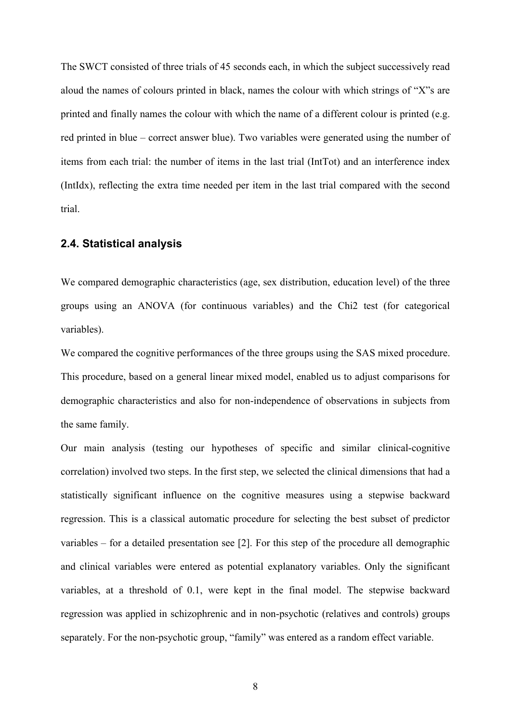The SWCT consisted of three trials of 45 seconds each, in which the subject successively read aloud the names of colours printed in black, names the colour with which strings of "X"s are printed and finally names the colour with which the name of a different colour is printed (e.g. red printed in blue – correct answer blue). Two variables were generated using the number of items from each trial: the number of items in the last trial (IntTot) and an interference index (IntIdx), reflecting the extra time needed per item in the last trial compared with the second trial.

### **2.4. Statistical analysis**

We compared demographic characteristics (age, sex distribution, education level) of the three groups using an ANOVA (for continuous variables) and the Chi2 test (for categorical variables).

We compared the cognitive performances of the three groups using the SAS mixed procedure. This procedure, based on a general linear mixed model, enabled us to adjust comparisons for demographic characteristics and also for non-independence of observations in subjects from the same family.

Our main analysis (testing our hypotheses of specific and similar clinical-cognitive correlation) involved two steps. In the first step, we selected the clinical dimensions that had a statistically significant influence on the cognitive measures using a stepwise backward regression. This is a classical automatic procedure for selecting the best subset of predictor variables – for a detailed presentation see [2]. For this step of the procedure all demographic and clinical variables were entered as potential explanatory variables. Only the significant variables, at a threshold of 0.1, were kept in the final model. The stepwise backward regression was applied in schizophrenic and in non-psychotic (relatives and controls) groups separately. For the non-psychotic group, "family" was entered as a random effect variable.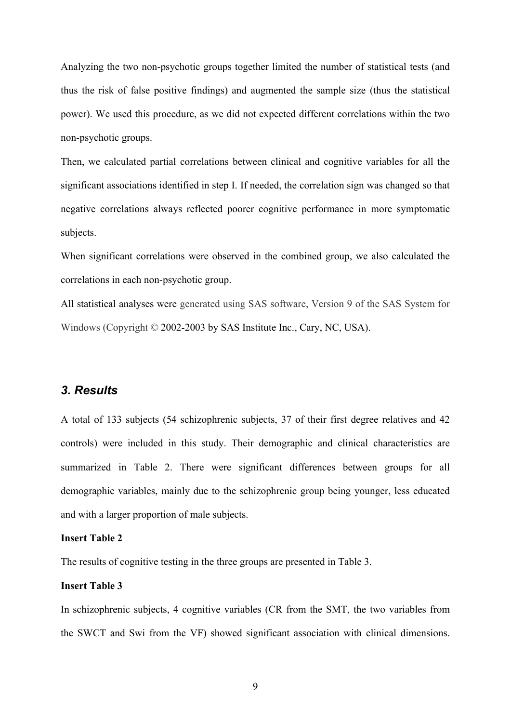Analyzing the two non-psychotic groups together limited the number of statistical tests (and thus the risk of false positive findings) and augmented the sample size (thus the statistical power). We used this procedure, as we did not expected different correlations within the two non-psychotic groups.

Then, we calculated partial correlations between clinical and cognitive variables for all the significant associations identified in step I. If needed, the correlation sign was changed so that negative correlations always reflected poorer cognitive performance in more symptomatic subjects.

When significant correlations were observed in the combined group, we also calculated the correlations in each non-psychotic group.

All statistical analyses were generated using SAS software, Version 9 of the SAS System for Windows (Copyright © 2002-2003 by SAS Institute Inc., Cary, NC, USA).

## *3. Results*

A total of 133 subjects (54 schizophrenic subjects, 37 of their first degree relatives and 42 controls) were included in this study. Their demographic and clinical characteristics are summarized in Table 2. There were significant differences between groups for all demographic variables, mainly due to the schizophrenic group being younger, less educated and with a larger proportion of male subjects.

#### **Insert Table 2**

The results of cognitive testing in the three groups are presented in Table 3.

#### **Insert Table 3**

In schizophrenic subjects, 4 cognitive variables (CR from the SMT, the two variables from the SWCT and Swi from the VF) showed significant association with clinical dimensions.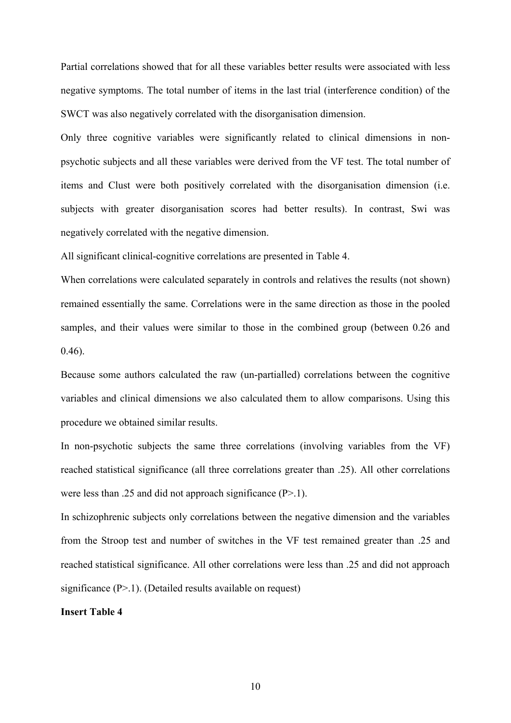Partial correlations showed that for all these variables better results were associated with less negative symptoms. The total number of items in the last trial (interference condition) of the SWCT was also negatively correlated with the disorganisation dimension.

Only three cognitive variables were significantly related to clinical dimensions in nonpsychotic subjects and all these variables were derived from the VF test. The total number of items and Clust were both positively correlated with the disorganisation dimension (i.e. subjects with greater disorganisation scores had better results). In contrast, Swi was negatively correlated with the negative dimension.

All significant clinical-cognitive correlations are presented in Table 4.

When correlations were calculated separately in controls and relatives the results (not shown) remained essentially the same. Correlations were in the same direction as those in the pooled samples, and their values were similar to those in the combined group (between 0.26 and 0.46).

Because some authors calculated the raw (un-partialled) correlations between the cognitive variables and clinical dimensions we also calculated them to allow comparisons. Using this procedure we obtained similar results.

In non-psychotic subjects the same three correlations (involving variables from the VF) reached statistical significance (all three correlations greater than .25). All other correlations were less than .25 and did not approach significance (P>.1).

In schizophrenic subjects only correlations between the negative dimension and the variables from the Stroop test and number of switches in the VF test remained greater than .25 and reached statistical significance. All other correlations were less than .25 and did not approach significance  $(P>1)$ . (Detailed results available on request)

#### **Insert Table 4**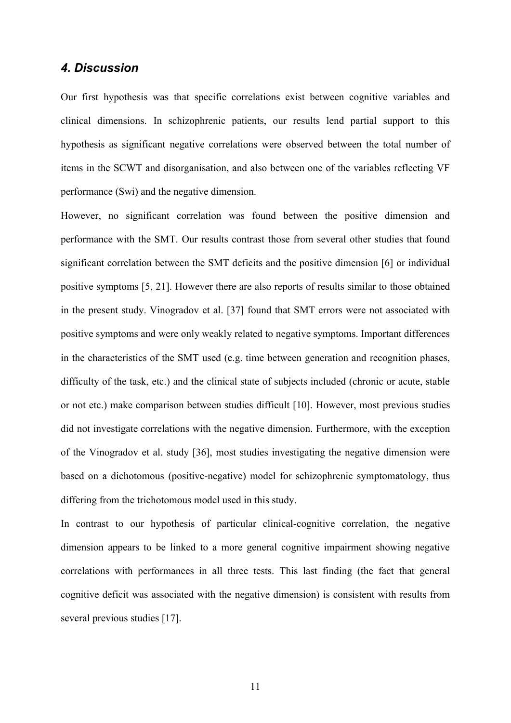### *4. Discussion*

Our first hypothesis was that specific correlations exist between cognitive variables and clinical dimensions. In schizophrenic patients, our results lend partial support to this hypothesis as significant negative correlations were observed between the total number of items in the SCWT and disorganisation, and also between one of the variables reflecting VF performance (Swi) and the negative dimension.

However, no significant correlation was found between the positive dimension and performance with the SMT. Our results contrast those from several other studies that found significant correlation between the SMT deficits and the positive dimension [6] or individual positive symptoms [5, 21]. However there are also reports of results similar to those obtained in the present study. Vinogradov et al. [37] found that SMT errors were not associated with positive symptoms and were only weakly related to negative symptoms. Important differences in the characteristics of the SMT used (e.g. time between generation and recognition phases, difficulty of the task, etc.) and the clinical state of subjects included (chronic or acute, stable or not etc.) make comparison between studies difficult [10]. However, most previous studies did not investigate correlations with the negative dimension. Furthermore, with the exception of the Vinogradov et al. study [36], most studies investigating the negative dimension were based on a dichotomous (positive-negative) model for schizophrenic symptomatology, thus differing from the trichotomous model used in this study.

In contrast to our hypothesis of particular clinical-cognitive correlation, the negative dimension appears to be linked to a more general cognitive impairment showing negative correlations with performances in all three tests. This last finding (the fact that general cognitive deficit was associated with the negative dimension) is consistent with results from several previous studies [17].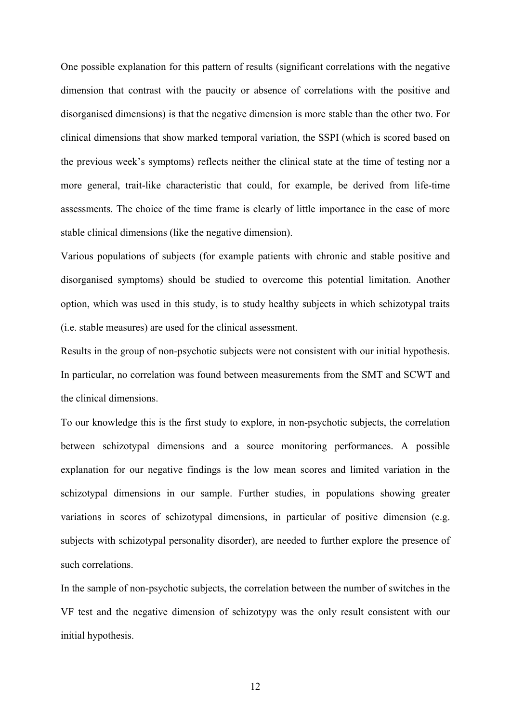One possible explanation for this pattern of results (significant correlations with the negative dimension that contrast with the paucity or absence of correlations with the positive and disorganised dimensions) is that the negative dimension is more stable than the other two. For clinical dimensions that show marked temporal variation, the SSPI (which is scored based on the previous week's symptoms) reflects neither the clinical state at the time of testing nor a more general, trait-like characteristic that could, for example, be derived from life-time assessments. The choice of the time frame is clearly of little importance in the case of more stable clinical dimensions (like the negative dimension).

Various populations of subjects (for example patients with chronic and stable positive and disorganised symptoms) should be studied to overcome this potential limitation. Another option, which was used in this study, is to study healthy subjects in which schizotypal traits (i.e. stable measures) are used for the clinical assessment.

Results in the group of non-psychotic subjects were not consistent with our initial hypothesis. In particular, no correlation was found between measurements from the SMT and SCWT and the clinical dimensions.

To our knowledge this is the first study to explore, in non-psychotic subjects, the correlation between schizotypal dimensions and a source monitoring performances. A possible explanation for our negative findings is the low mean scores and limited variation in the schizotypal dimensions in our sample. Further studies, in populations showing greater variations in scores of schizotypal dimensions, in particular of positive dimension (e.g. subjects with schizotypal personality disorder), are needed to further explore the presence of such correlations.

In the sample of non-psychotic subjects, the correlation between the number of switches in the VF test and the negative dimension of schizotypy was the only result consistent with our initial hypothesis.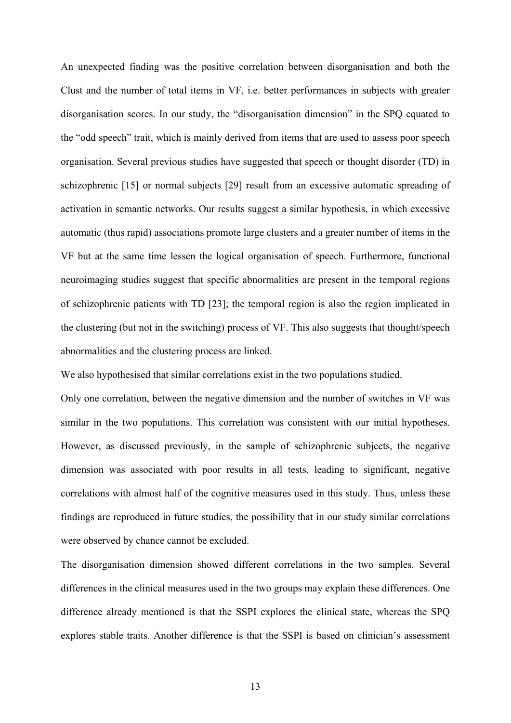An unexpected finding was the positive correlation between disorganisation and both the Clust and the number of total items in VF, i.e. better performances in subjects with greater disorganisation scores. In our study, the "disorganisation dimension" in the SPQ equated to the "odd speech" trait, which is mainly derived from items that are used to assess poor speech organisation. Several previous studies have suggested that speech or thought disorder (TD) in schizophrenic [15] or normal subjects [29] result from an excessive automatic spreading of activation in semantic networks. Our results suggest a similar hypothesis, in which excessive automatic (thus rapid) associations promote large clusters and a greater number of items in the VF but at the same time lessen the logical organisation of speech. Furthermore, functional neuroimaging studies suggest that specific abnormalities are present in the temporal regions of schizophrenic patients with TD [23]; the temporal region is also the region implicated in the clustering (but not in the switching) process of VF. This also suggests that thought/speech abnormalities and the clustering process are linked.

We also hypothesised that similar correlations exist in the two populations studied.

Only one correlation, between the negative dimension and the number of switches in VF was similar in the two populations. This correlation was consistent with our initial hypotheses. However, as discussed previously, in the sample of schizophrenic subjects, the negative dimension was associated with poor results in all tests, leading to significant, negative correlations with almost half of the cognitive measures used in this study. Thus, unless these findings are reproduced in future studies, the possibility that in our study similar correlations were observed by chance cannot be excluded.

The disorganisation dimension showed different correlations in the two samples. Several differences in the clinical measures used in the two groups may explain these differences. One difference already mentioned is that the SSPI explores the clinical state, whereas the SPQ explores stable traits. Another difference is that the SSPI is based on clinician's assessment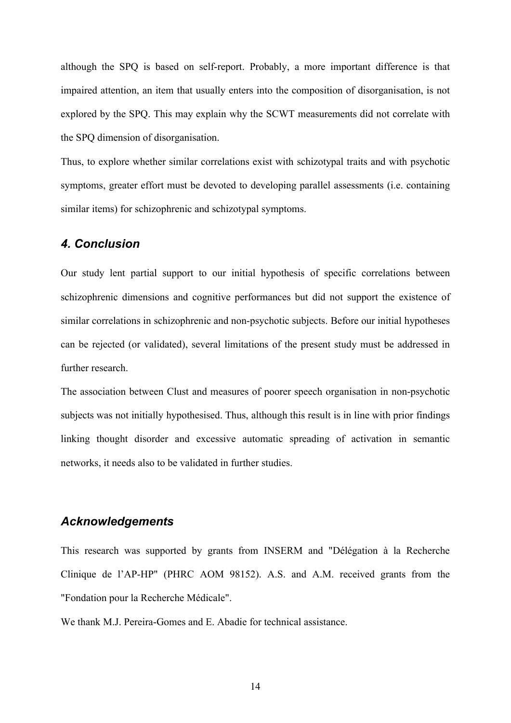although the SPQ is based on self-report. Probably, a more important difference is that impaired attention, an item that usually enters into the composition of disorganisation, is not explored by the SPQ. This may explain why the SCWT measurements did not correlate with the SPQ dimension of disorganisation.

Thus, to explore whether similar correlations exist with schizotypal traits and with psychotic symptoms, greater effort must be devoted to developing parallel assessments (i.e. containing similar items) for schizophrenic and schizotypal symptoms.

## *4. Conclusion*

Our study lent partial support to our initial hypothesis of specific correlations between schizophrenic dimensions and cognitive performances but did not support the existence of similar correlations in schizophrenic and non-psychotic subjects. Before our initial hypotheses can be rejected (or validated), several limitations of the present study must be addressed in further research.

The association between Clust and measures of poorer speech organisation in non-psychotic subjects was not initially hypothesised. Thus, although this result is in line with prior findings linking thought disorder and excessive automatic spreading of activation in semantic networks, it needs also to be validated in further studies.

## *Acknowledgements*

This research was supported by grants from INSERM and "Délégation à la Recherche Clinique de l'AP-HP" (PHRC AOM 98152). A.S. and A.M. received grants from the "Fondation pour la Recherche Médicale".

We thank M.J. Pereira-Gomes and E. Abadie for technical assistance.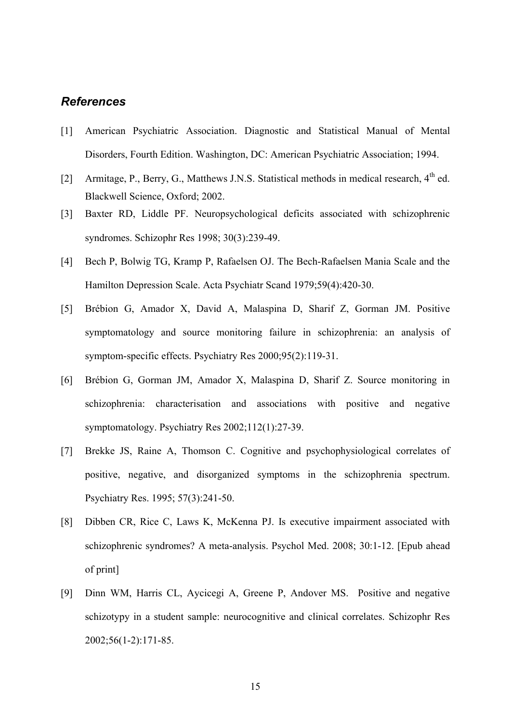## *References*

- [1] American Psychiatric Association. Diagnostic and Statistical Manual of Mental Disorders, Fourth Edition. Washington, DC: American Psychiatric Association; 1994.
- [2] Armitage, P., Berry, G., Matthews J.N.S. Statistical methods in medical research, 4<sup>th</sup> ed. Blackwell Science, Oxford; 2002.
- [3] Baxter RD, Liddle PF. Neuropsychological deficits associated with schizophrenic syndromes. Schizophr Res 1998; 30(3):239-49.
- [4] Bech P, Bolwig TG, Kramp P, Rafaelsen OJ. The Bech-Rafaelsen Mania Scale and the Hamilton Depression Scale. Acta Psychiatr Scand 1979;59(4):420-30.
- [5] Brébion G, Amador X, David A, Malaspina D, Sharif Z, Gorman JM. Positive symptomatology and source monitoring failure in schizophrenia: an analysis of symptom-specific effects. Psychiatry Res 2000;95(2):119-31.
- [6] Brébion G, Gorman JM, Amador X, Malaspina D, Sharif Z. Source monitoring in schizophrenia: characterisation and associations with positive and negative symptomatology. Psychiatry Res 2002;112(1):27-39.
- [7] Brekke JS, Raine A, Thomson C. Cognitive and psychophysiological correlates of positive, negative, and disorganized symptoms in the schizophrenia spectrum. Psychiatry Res. 1995; 57(3):241-50.
- [8] Dibben CR, Rice C, Laws K, McKenna PJ. Is executive impairment associated with schizophrenic syndromes? A meta-analysis. Psychol Med. 2008; 30:1-12. [Epub ahead of print]
- [9] Dinn WM, Harris CL, Aycicegi A, Greene P, Andover MS. Positive and negative schizotypy in a student sample: neurocognitive and clinical correlates. Schizophr Res 2002;56(1-2):171-85.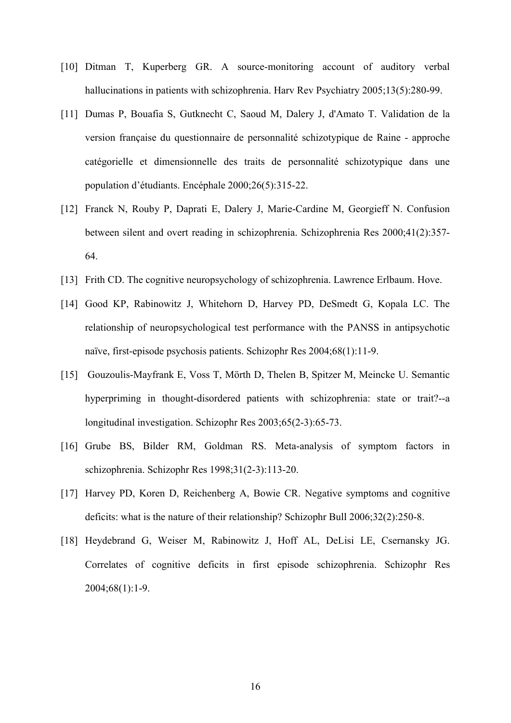- [10] Ditman T, Kuperberg GR. A source-monitoring account of auditory verbal hallucinations in patients with schizophrenia. Harv Rev Psychiatry 2005;13(5):280-99.
- [11] Dumas P, Bouafia S, Gutknecht C, Saoud M, Dalery J, d'Amato T. Validation de la version française du questionnaire de personnalité schizotypique de Raine - approche catégorielle et dimensionnelle des traits de personnalité schizotypique dans une population d'étudiants. Encéphale 2000;26(5):315-22.
- [12] Franck N, Rouby P, Daprati E, Dalery J, Marie-Cardine M, Georgieff N. Confusion between silent and overt reading in schizophrenia. Schizophrenia Res 2000;41(2):357- 64.
- [13] Frith CD. The cognitive neuropsychology of schizophrenia. Lawrence Erlbaum. Hove.
- [14] Good KP, Rabinowitz J, Whitehorn D, Harvey PD, DeSmedt G, Kopala LC. The relationship of neuropsychological test performance with the PANSS in antipsychotic naïve, first-episode psychosis patients. Schizophr Res 2004;68(1):11-9.
- [15] Gouzoulis-Mayfrank E, Voss T, Mörth D, Thelen B, Spitzer M, Meincke U. Semantic hyperpriming in thought-disordered patients with schizophrenia: state or trait?--a longitudinal investigation. Schizophr Res 2003;65(2-3):65-73.
- [16] Grube BS, Bilder RM, Goldman RS. Meta-analysis of symptom factors in schizophrenia. Schizophr Res 1998;31(2-3):113-20.
- [17] Harvey PD, Koren D, Reichenberg A, Bowie CR. Negative symptoms and cognitive deficits: what is the nature of their relationship? Schizophr Bull 2006;32(2):250-8.
- [18] Heydebrand G, Weiser M, Rabinowitz J, Hoff AL, DeLisi LE, Csernansky JG. Correlates of cognitive deficits in first episode schizophrenia. Schizophr Res 2004;68(1):1-9.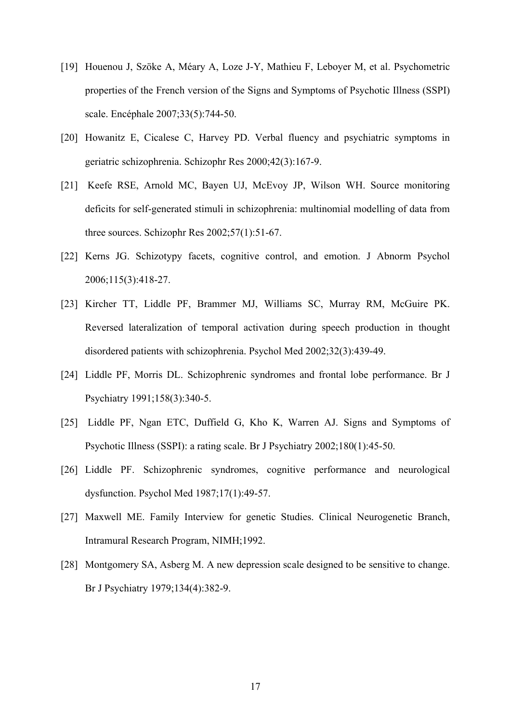- [19] Houenou J, Szöke A, Méary A, Loze J-Y, Mathieu F, Leboyer M, et al. Psychometric properties of the French version of the Signs and Symptoms of Psychotic Illness (SSPI) scale. Encéphale 2007;33(5):744-50.
- [20] Howanitz E, Cicalese C, Harvey PD. Verbal fluency and psychiatric symptoms in geriatric schizophrenia. Schizophr Res 2000;42(3):167-9.
- [21] Keefe RSE, Arnold MC, Bayen UJ, McEvoy JP, Wilson WH. Source monitoring deficits for self-generated stimuli in schizophrenia: multinomial modelling of data from three sources. Schizophr Res 2002;57(1):51-67.
- [22] Kerns JG. Schizotypy facets, cognitive control, and emotion. J Abnorm Psychol 2006;115(3):418-27.
- [23] Kircher TT, Liddle PF, Brammer MJ, Williams SC, Murray RM, McGuire PK. Reversed lateralization of temporal activation during speech production in thought disordered patients with schizophrenia. Psychol Med 2002;32(3):439-49.
- [24] Liddle PF, Morris DL. Schizophrenic syndromes and frontal lobe performance. Br J Psychiatry 1991;158(3):340-5.
- [25] Liddle PF, Ngan ETC, Duffield G, Kho K, Warren AJ. Signs and Symptoms of Psychotic Illness (SSPI): a rating scale. Br J Psychiatry 2002;180(1):45-50.
- [26] Liddle PF. Schizophrenic syndromes, cognitive performance and neurological dysfunction. Psychol Med 1987;17(1):49-57.
- [27] Maxwell ME. Family Interview for genetic Studies. Clinical Neurogenetic Branch, Intramural Research Program, NIMH;1992.
- [28] Montgomery SA, Asberg M. A new depression scale designed to be sensitive to change. Br J Psychiatry 1979;134(4):382-9.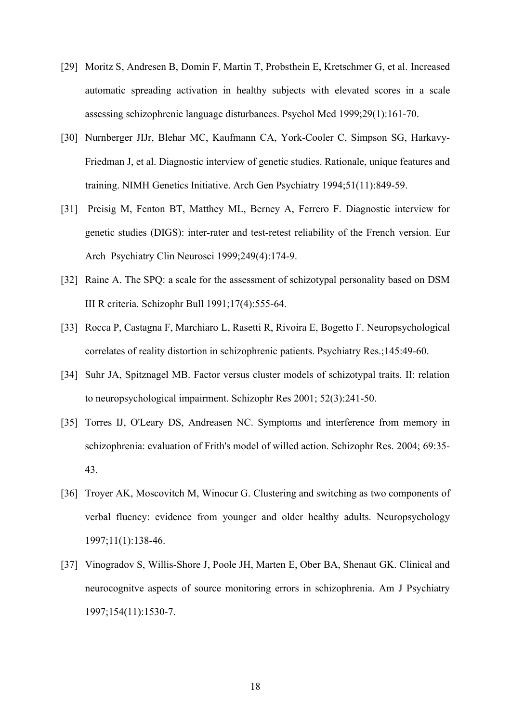- [29] Moritz S, Andresen B, Domin F, Martin T, Probsthein E, Kretschmer G, et al. Increased automatic spreading activation in healthy subjects with elevated scores in a scale assessing schizophrenic language disturbances. Psychol Med 1999;29(1):161-70.
- [30] Nurnberger JIJr, Blehar MC, Kaufmann CA, York-Cooler C, Simpson SG, Harkavy-Friedman J, et al. Diagnostic interview of genetic studies. Rationale, unique features and training. NIMH Genetics Initiative. Arch Gen Psychiatry 1994;51(11):849-59.
- [31] Preisig M, Fenton BT, Matthey ML, Berney A, Ferrero F. Diagnostic interview for genetic studies (DIGS): inter-rater and test-retest reliability of the French version. Eur Arch Psychiatry Clin Neurosci 1999;249(4):174-9.
- [32] Raine A. The SPQ: a scale for the assessment of schizotypal personality based on DSM III R criteria. Schizophr Bull 1991;17(4):555-64.
- [33] Rocca P, Castagna F, Marchiaro L, Rasetti R, Rivoira E, Bogetto F. Neuropsychological correlates of reality distortion in schizophrenic patients. Psychiatry Res.;145:49-60.
- [34] Suhr JA, Spitznagel MB. Factor versus cluster models of schizotypal traits. II: relation to neuropsychological impairment. Schizophr Res 2001; 52(3):241-50.
- [35] Torres IJ, O'Leary DS, Andreasen NC. Symptoms and interference from memory in schizophrenia: evaluation of Frith's model of willed action. Schizophr Res. 2004; 69:35- 43.
- [36] Troyer AK, Moscovitch M, Winocur G. Clustering and switching as two components of verbal fluency: evidence from younger and older healthy adults. Neuropsychology 1997;11(1):138-46.
- [37] Vinogradov S, Willis-Shore J, Poole JH, Marten E, Ober BA, Shenaut GK. Clinical and neurocognitve aspects of source monitoring errors in schizophrenia. Am J Psychiatry 1997;154(11):1530-7.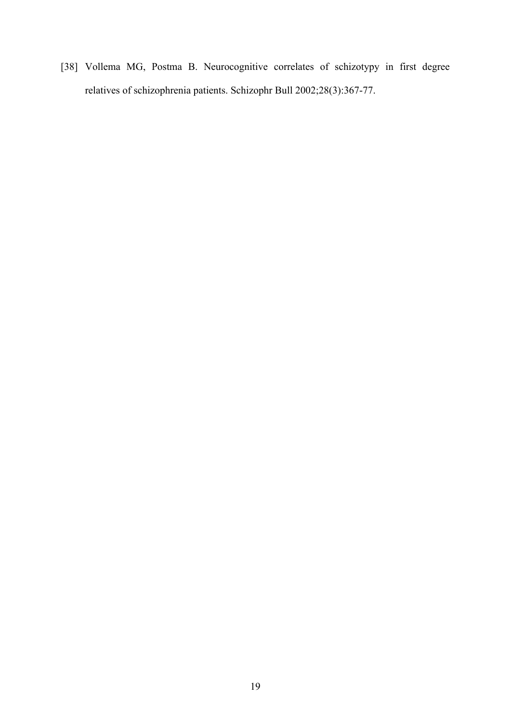[38] Vollema MG, Postma B. Neurocognitive correlates of schizotypy in first degree relatives of schizophrenia patients. Schizophr Bull 2002;28(3):367-77.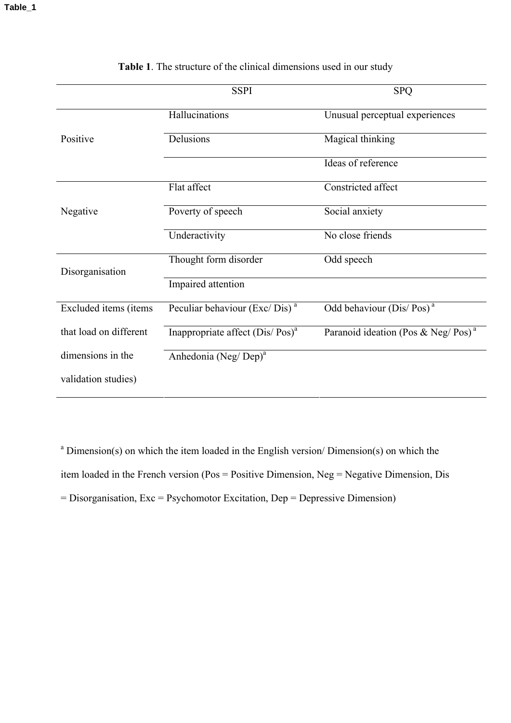|                        | <b>SSPI</b>                               | <b>SPQ</b>                                     |
|------------------------|-------------------------------------------|------------------------------------------------|
|                        | Hallucinations                            | Unusual perceptual experiences                 |
| Positive               | Delusions                                 | Magical thinking                               |
|                        |                                           | Ideas of reference                             |
|                        | Flat affect                               | Constricted affect                             |
| Negative               | Poverty of speech                         | Social anxiety                                 |
|                        | Underactivity                             | No close friends                               |
| Disorganisation        | Thought form disorder                     | Odd speech                                     |
|                        | Impaired attention                        |                                                |
| Excluded items (items  | Peculiar behaviour (Exc/Dis) <sup>a</sup> | Odd behaviour (Dis/Pos) <sup>a</sup>           |
| that load on different | Inappropriate affect $(Dis/Pos)^a$        | Paranoid ideation (Pos & Neg/Pos) <sup>a</sup> |
| dimensions in the      | Anhedonia (Neg/Dep) <sup>a</sup>          |                                                |
| validation studies)    |                                           |                                                |

## **Table 1**. The structure of the clinical dimensions used in our study

<sup>a</sup> Dimension(s) on which the item loaded in the English version/ Dimension(s) on which the item loaded in the French version (Pos = Positive Dimension, Neg = Negative Dimension, Dis  $=$  Disorganisation, Exc  $=$  Psychomotor Excitation, Dep  $=$  Depressive Dimension)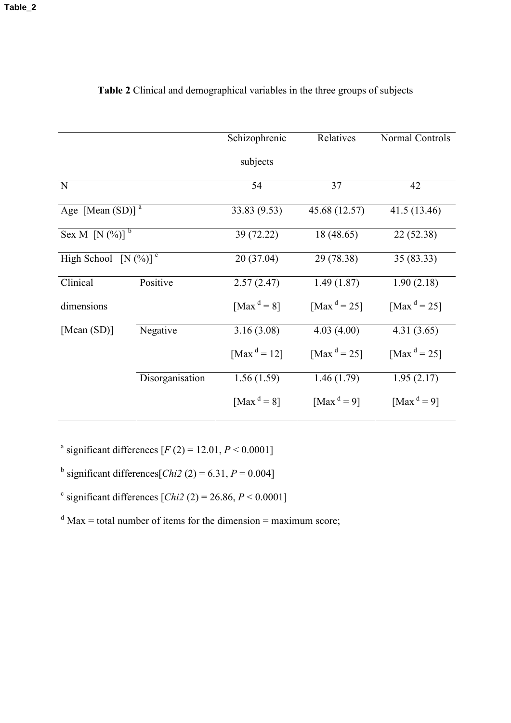|                                         |                 | Schizophrenic           | Relatives               | Normal Controls                     |  |
|-----------------------------------------|-----------------|-------------------------|-------------------------|-------------------------------------|--|
|                                         |                 | subjects                |                         |                                     |  |
| N                                       |                 | 54                      | 37                      | 42                                  |  |
| Age [Mean $(SD)$ ] <sup>a</sup>         |                 | 33.83 (9.53)            | 45.68 (12.57)           | 41.5 (13.46)                        |  |
| Sex M [N $(\frac{9}{6})$ ] <sup>b</sup> |                 | 39 (72.22)              | 18 (48.65)              | 22 (52.38)                          |  |
| High School $[N(\%)]$ <sup>c</sup>      |                 | 20 (37.04)              | 29 (78.38)              | 35 (83.33)                          |  |
| Clinical                                | Positive        | 2.57(2.47)              | 1.49(1.87)              | 1.90(2.18)                          |  |
| dimensions                              |                 | [Max <sup>d</sup> = 8]  | [Max <sup>d</sup> = 25] | [Max <sup>d</sup> = 25]             |  |
| [Mean $(SD)$ ]                          | Negative        | 3.16(3.08)              | 4.03(4.00)              | 4.31(3.65)                          |  |
|                                         |                 | [Max <sup>d</sup> = 12] | [Max <sup>d</sup> = 25] | [Max <sup>d</sup> = 25]             |  |
|                                         | Disorganisation | 1.56(1.59)              | 1.46(1.79)              | 1.95(2.17)                          |  |
|                                         |                 | [Max <sup>d</sup> = 8]  | [Max <sup>d</sup> = 9]  | [Max <sup><math>d = 9</math>]</sup> |  |

## **Table 2** Clinical and demographical variables in the three groups of subjects

<sup>a</sup> significant differences  $[F(2) = 12.01, P \le 0.0001]$ 

<sup>b</sup> significant differences  $[Chi2 (2) = 6.31, P = 0.004]$ 

 $c$  significant differences [*Chi2* (2) = 26.86, *P* < 0.0001]

 $d$  Max = total number of items for the dimension = maximum score;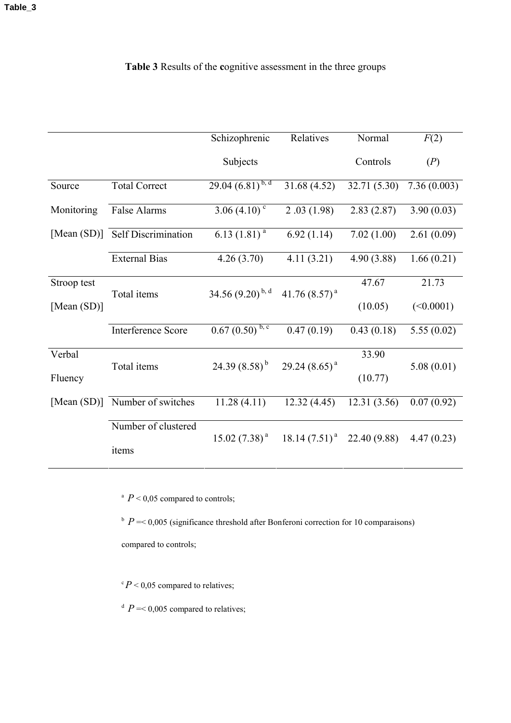## **Table 3** Results of the **c**ognitive assessment in the three groups

|                |                                 | Schizophrenic                    | Relatives          | Normal       | F(2)        |  |
|----------------|---------------------------------|----------------------------------|--------------------|--------------|-------------|--|
|                |                                 | Subjects                         |                    | Controls     | (P)         |  |
| Source         | <b>Total Correct</b>            | $29.04\ (\overline{6.81})^{b,d}$ | 31.68 (4.52)       | 32.71 (5.30) | 7.36(0.003) |  |
| Monitoring     | False Alarms                    | 3.06 $(4.10)^c$                  | 2.03(1.98)         | 2.83(2.87)   | 3.90(0.03)  |  |
|                | [Mean (SD)] Self Discrimination | 6.13 $(1.81)^a$                  | 6.92(1.14)         | 7.02(1.00)   | 2.61(0.09)  |  |
|                | <b>External Bias</b>            | 4.26(3.70)                       | 4.11(3.21)         | 4.90(3.88)   | 1.66(0.21)  |  |
| Stroop test    | Total items                     | 34.56 $(9.20)^{b,d}$             | 41.76 $(8.57)^a$   | 47.67        | 21.73       |  |
| [Mean $(SD)$ ] |                                 |                                  |                    | (10.05)      | (<0.0001)   |  |
|                | Interference Score              | $0.67(0.50)^{b,c}$               | 0.47(0.19)         | 0.43(0.18)   | 5.55(0.02)  |  |
| Verbal         | Total items                     | 24.39 $(8.58)^{b}$               | 29.24 $(8.65)^{a}$ | 33.90        | 5.08(0.01)  |  |
| Fluency        |                                 |                                  |                    | (10.77)      |             |  |
|                | [Mean (SD)] Number of switches  | 11.28(4.11)                      | 12.32(4.45)        | 12.31(3.56)  | 0.07(0.92)  |  |
|                | Number of clustered             | $15.02(7.38)^{a}$                | $18.14(7.51)^{a}$  | 22.40 (9.88) | 4.47(0.23)  |  |
|                | items                           |                                  |                    |              |             |  |

<sup>a</sup>  $P < 0.05$  compared to controls;

 $P = 0.005$  (significance threshold after Bonferoni correction for 10 comparaisons)

compared to controls;

 $\degree P$  < 0,05 compared to relatives;

 $P = 0.005$  compared to relatives;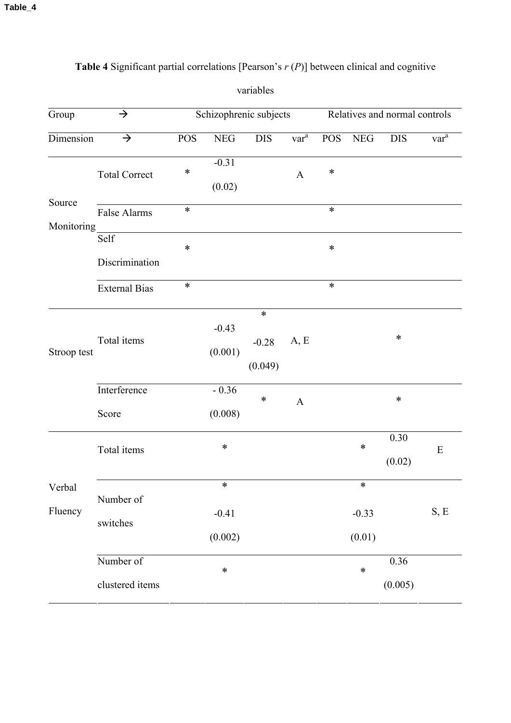| Group<br>$\rightarrow$ |                              | Schizophrenic subjects |                         |                              | Relatives and normal controls |            |                             |                 |                    |
|------------------------|------------------------------|------------------------|-------------------------|------------------------------|-------------------------------|------------|-----------------------------|-----------------|--------------------|
| Dimension              | $\rightarrow$                | <b>POS</b>             | NEG                     | <b>DIS</b>                   | $var^a$                       | <b>POS</b> | <b>NEG</b>                  | <b>DIS</b>      | $\overline{var}^a$ |
|                        | <b>Total Correct</b>         | $\ast$                 | $-0.31$<br>(0.02)       |                              | $\mathbf{A}$                  | $\ast$     |                             |                 |                    |
| Source                 | False Alarms                 | $\ast$                 |                         |                              |                               | $\ast$     |                             |                 |                    |
| Monitoring             | Self<br>Discrimination       | $\ast$                 |                         |                              |                               | $\ast$     |                             |                 |                    |
|                        | <b>External Bias</b>         | $\ast$                 |                         |                              |                               | $\ast$     |                             |                 |                    |
| Stroop test            | Total items                  |                        | $-0.43$<br>(0.001)      | $\ast$<br>$-0.28$<br>(0.049) | A, E                          |            |                             | $\ast$          |                    |
|                        | Interference<br>Score        |                        | $-0.36$<br>(0.008)      | $\ast$                       | $\boldsymbol{\mathsf{A}}$     |            |                             | $\ast$          |                    |
| Verbal<br>Fluency      | Total items                  |                        | $\ast$                  |                              |                               |            | $\ast$                      | 0.30<br>(0.02)  | ${\bf E}$          |
|                        | Number of<br>switches        |                        | ∗<br>$-0.41$<br>(0.002) |                              |                               |            | $\ast$<br>$-0.33$<br>(0.01) |                 | S, E               |
|                        | Number of<br>clustered items |                        | $\ast$                  |                              |                               |            | $\ast$                      | 0.36<br>(0.005) |                    |

## **Table 4** Significant partial correlations [Pearson's *r* (*P*)] between clinical and cognitive

variables